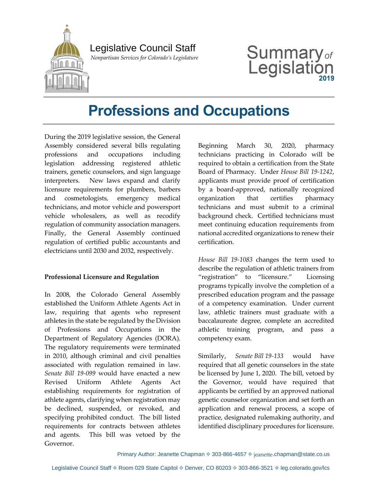

## Legislative Council Staff

 *Nonpartisan Services for Colorado's Legislature*

# **Summary** of Legislat

# **Professions and Occupations**

During the 2019 legislative session, the General Assembly considered several bills regulating professions and occupations including legislation addressing registered athletic trainers, genetic counselors, and sign language interpreters. New laws expand and clarify licensure requirements for plumbers, barbers and cosmetologists, emergency medical technicians, and motor vehicle and powersport vehicle wholesalers, as well as recodify regulation of community association managers. Finally, the General Assembly continued regulation of certified public accountants and electricians until 2030 and 2032, respectively.

#### **Professional Licensure and Regulation**

In 2008, the Colorado General Assembly established the Uniform Athlete Agents Act in law, requiring that agents who represent athletes in the state be regulated by the Division of Professions and Occupations in the Department of Regulatory Agencies (DORA). The regulatory requirements were terminated in 2010, although criminal and civil penalties associated with regulation remained in law. *Senate Bill 19-099* would have enacted a new Revised Uniform Athlete Agents Act establishing requirements for registration of athlete agents, clarifying when registration may be declined, suspended, or revoked, and specifying prohibited conduct. The bill listed requirements for contracts between athletes and agents. This bill was vetoed by the Governor.

Beginning March 30, 2020, pharmacy technicians practicing in Colorado will be required to obtain a certification from the State Board of Pharmacy. Under *House Bill 19-1242*, applicants must provide proof of certification by a board-approved, nationally recognized organization that certifies pharmacy technicians and must submit to a criminal background check. Certified technicians must meet continuing education requirements from national accredited organizations to renew their certification.

*House Bill 19-1083* changes the term used to describe the regulation of athletic trainers from "registration" to "licensure." Licensing programs typically involve the completion of a prescribed education program and the passage of a competency examination. Under current law, athletic trainers must graduate with a baccalaureate degree, complete an accredited athletic training program, and pass a competency exam.

Similarly, *Senate Bill 19-133* would have required that all genetic counselors in the state be licensed by June 1, 2020. The bill, vetoed by the Governor, would have required that applicants be certified by an approved national genetic counselor organization and set forth an application and renewal process, a scope of practice, designated rulemaking authority, and identified disciplinary procedures for licensure.

Primary Author: Jeanette Chapman  $\Diamond$  303-866-4657  $\Diamond$  jeanette.chapman@state.co.us